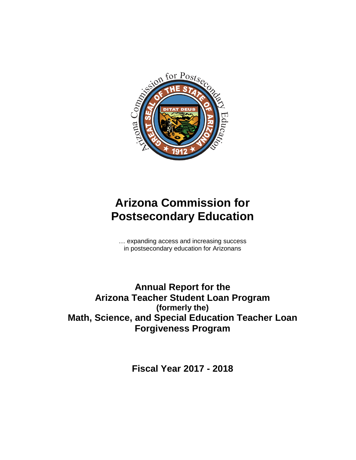

# **Arizona Commission for Postsecondary Education**

… expanding access and increasing success in postsecondary education for Arizonans

**Annual Report for the Arizona Teacher Student Loan Program (formerly the) Math, Science, and Special Education Teacher Loan Forgiveness Program**

**Fiscal Year 2017 - 2018**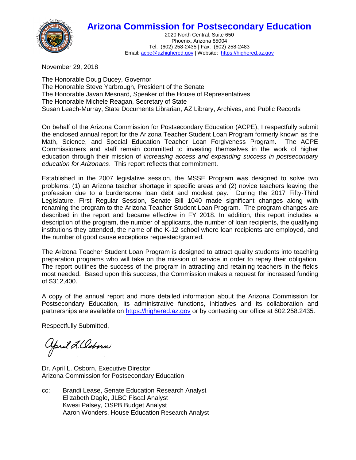## **Arizona Commission for Postsecondary Education**



2020 North Central, Suite 650 Phoenix, Arizona 85004 Tel: (602) 258-2435 | Fax: (602) 258-2483 Email[: acpe@azhighered.gov](mailto:acpe@azhighered.gov) | Website: [https://highered.az.gov](https://highered.az.gov/)

November 29, 2018

The Honorable Doug Ducey, Governor The Honorable Steve Yarbrough, President of the Senate The Honorable Javan Mesnard, Speaker of the House of Representatives The Honorable Michele Reagan, Secretary of State Susan Leach-Murray, State Documents Librarian, AZ Library, Archives, and Public Records

On behalf of the Arizona Commission for Postsecondary Education (ACPE), I respectfully submit the enclosed annual report for the Arizona Teacher Student Loan Program formerly known as the Math, Science, and Special Education Teacher Loan Forgiveness Program. The ACPE Commissioners and staff remain committed to investing themselves in the work of higher education through their mission of *increasing access and expanding success in postsecondary education for Arizonans*. This report reflects that commitment.

Established in the 2007 legislative session, the MSSE Program was designed to solve two problems: (1) an Arizona teacher shortage in specific areas and (2) novice teachers leaving the profession due to a burdensome loan debt and modest pay. During the 2017 Fifty-Third Legislature, First Regular Session, Senate Bill 1040 made significant changes along with renaming the program to the Arizona Teacher Student Loan Program. The program changes are described in the report and became effective in FY 2018. In addition, this report includes a description of the program, the number of applicants, the number of loan recipients, the qualifying institutions they attended, the name of the K-12 school where loan recipients are employed, and the number of good cause exceptions requested/granted.

The Arizona Teacher Student Loan Program is designed to attract quality students into teaching preparation programs who will take on the mission of service in order to repay their obligation. The report outlines the success of the program in attracting and retaining teachers in the fields most needed. Based upon this success, the Commission makes a request for increased funding of \$312,400.

A copy of the annual report and more detailed information about the Arizona Commission for Postsecondary Education, its administrative functions, initiatives and its collaboration and partnerships are available on [https://highered.az.gov](https://highered.az.gov/) or by contacting our office at 602.258.2435.

Respectfully Submitted,

april L. Osborn

Dr. April L. Osborn, Executive Director Arizona Commission for Postsecondary Education

cc: Brandi Lease, Senate Education Research Analyst Elizabeth Dagle, JLBC Fiscal Analyst Kwesi Palsey, OSPB Budget Analyst Aaron Wonders, House Education Research Analyst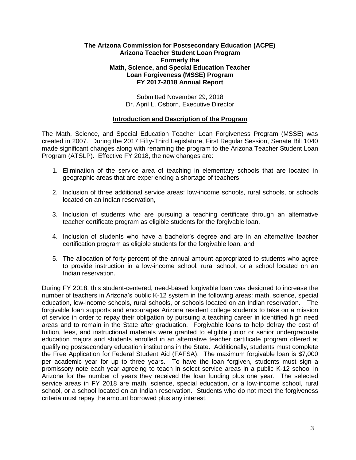#### **The Arizona Commission for Postsecondary Education (ACPE) Arizona Teacher Student Loan Program Formerly the Math, Science, and Special Education Teacher Loan Forgiveness (MSSE) Program FY 2017-2018 Annual Report**

Submitted November 29, 2018 Dr. April L. Osborn, Executive Director

#### **Introduction and Description of the Program**

The Math, Science, and Special Education Teacher Loan Forgiveness Program (MSSE) was created in 2007. During the 2017 Fifty-Third Legislature, First Regular Session, Senate Bill 1040 made significant changes along with renaming the program to the Arizona Teacher Student Loan Program (ATSLP). Effective FY 2018, the new changes are:

- 1. Elimination of the service area of teaching in elementary schools that are located in geographic areas that are experiencing a shortage of teachers,
- 2. Inclusion of three additional service areas: low-income schools, rural schools, or schools located on an Indian reservation,
- 3. Inclusion of students who are pursuing a teaching certificate through an alternative teacher certificate program as eligible students for the forgivable loan,
- 4. Inclusion of students who have a bachelor's degree and are in an alternative teacher certification program as eligible students for the forgivable loan, and
- 5. The allocation of forty percent of the annual amount appropriated to students who agree to provide instruction in a low-income school, rural school, or a school located on an Indian reservation.

During FY 2018, this student-centered, need-based forgivable loan was designed to increase the number of teachers in Arizona's public K-12 system in the following areas: math, science, special education, low-income schools, rural schools, or schools located on an Indian reservation. The forgivable loan supports and encourages Arizona resident college students to take on a mission of service in order to repay their obligation by pursuing a teaching career in identified high need areas and to remain in the State after graduation. Forgivable loans to help defray the cost of tuition, fees, and instructional materials were granted to eligible junior or senior undergraduate education majors and students enrolled in an alternative teacher certificate program offered at qualifying postsecondary education institutions in the State. Additionally, students must complete the Free Application for Federal Student Aid (FAFSA). The maximum forgivable loan is \$7,000 per academic year for up to three years. To have the loan forgiven, students must sign a promissory note each year agreeing to teach in select service areas in a public K-12 school in Arizona for the number of years they received the loan funding plus one year. The selected service areas in FY 2018 are math, science, special education, or a low-income school, rural school, or a school located on an Indian reservation. Students who do not meet the forgiveness criteria must repay the amount borrowed plus any interest.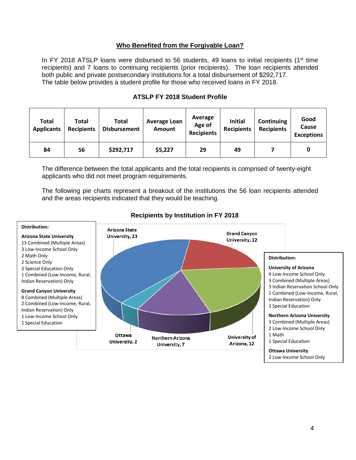#### **Who Benefited from the Forgivable Loan?**

In FY 2018 ATSLP loans were disbursed to 56 students, 49 loans to initial recipients ( $1<sup>st</sup>$  time recipients) and 7 loans to continuing recipients (prior recipients). The loan recipients attended both public and private postsecondary institutions for a total disbursement of \$292,717. The table below provides a student profile for those who received loans in FY 2018.

| <b>Total</b><br><b>Applicants</b> | Total<br><b>Recipients</b> | <b>Total</b><br><b>Disbursement</b> | <b>Average Loan</b><br><b>Amount</b> | Average<br>Age of<br><b>Recipients</b> | <b>Initial</b><br><b>Recipients</b> | Continuing<br><b>Recipients</b> | Good<br>Cause<br><b>Exceptions</b> |
|-----------------------------------|----------------------------|-------------------------------------|--------------------------------------|----------------------------------------|-------------------------------------|---------------------------------|------------------------------------|
| 84                                | 56                         | \$292,717                           | \$5,227                              | 29                                     | 49                                  |                                 | 0                                  |

#### **ATSLP FY 2018 Student Profile**

The difference between the total applicants and the total recipients is comprised of twenty-eight applicants who did not meet program requirements.

The following pie charts represent a breakout of the institutions the 56 loan recipients attended and the areas recipients indicated that they would be teaching.



#### **Recipients by Institution in FY 2018**

2 Low-Income School Only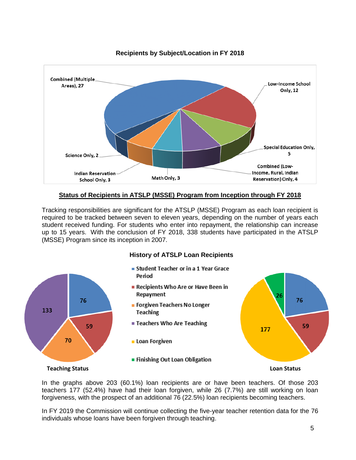

#### **Recipients by Subject/Location in FY 2018**

#### **Status of Recipients in ATSLP (MSSE) Program from Inception through FY 2018**

Tracking responsibilities are significant for the ATSLP (MSSE) Program as each loan recipient is required to be tracked between seven to eleven years, depending on the number of years each student received funding. For students who enter into repayment, the relationship can increase up to 15 years. With the conclusion of FY 2018, 338 students have participated in the ATSLP (MSSE) Program since its inception in 2007.



- Student Teacher or in a 1 Year Grace Period
- Recipients Who Are or Have Been in Repayment
- Forgiven Teachers No Longer **Teaching**
- Teachers Who Are Teaching
- Loan Forgiven

76

70

59

133

**Example 1** Finishing Out Loan Obligation

### **Teaching Status Loan Status**

26

177

76

59

In the graphs above 203 (60.1%) loan recipients are or have been teachers. Of those 203 teachers 177 (52.4%) have had their loan forgiven, while 26 (7.7%) are still working on loan forgiveness, with the prospect of an additional 76 (22.5%) loan recipients becoming teachers.

In FY 2019 the Commission will continue collecting the five-year teacher retention data for the 76 individuals whose loans have been forgiven through teaching.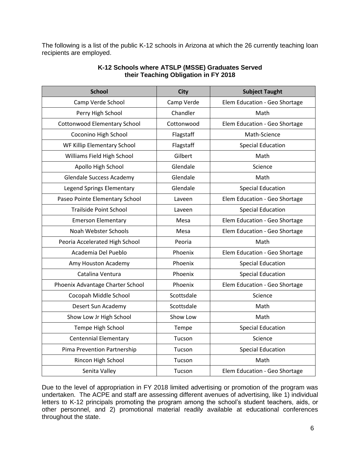The following is a list of the public K-12 schools in Arizona at which the 26 currently teaching loan recipients are employed.

| <b>School</b>                       | <b>City</b> | <b>Subject Taught</b>         |  |
|-------------------------------------|-------------|-------------------------------|--|
| Camp Verde School                   | Camp Verde  | Elem Education - Geo Shortage |  |
| Perry High School                   | Chandler    | Math                          |  |
| <b>Cottonwood Elementary School</b> | Cottonwood  | Elem Education - Geo Shortage |  |
| Coconino High School                | Flagstaff   | Math-Science                  |  |
| WF Killip Elementary School         | Flagstaff   | <b>Special Education</b>      |  |
| Williams Field High School          | Gilbert     | Math                          |  |
| Apollo High School                  | Glendale    | Science                       |  |
| <b>Glendale Success Academy</b>     | Glendale    | Math                          |  |
| Legend Springs Elementary           | Glendale    | <b>Special Education</b>      |  |
| Paseo Pointe Elementary School      | Laveen      | Elem Education - Geo Shortage |  |
| <b>Trailside Point School</b>       | Laveen      | <b>Special Education</b>      |  |
| <b>Emerson Elementary</b>           | Mesa        | Elem Education - Geo Shortage |  |
| Noah Webster Schools                | Mesa        | Elem Education - Geo Shortage |  |
| Peoria Accelerated High School      | Peoria      | Math                          |  |
| Academia Del Pueblo                 | Phoenix     | Elem Education - Geo Shortage |  |
| Amy Houston Academy                 | Phoenix     | <b>Special Education</b>      |  |
| Catalina Ventura                    | Phoenix     | <b>Special Education</b>      |  |
| Phoenix Advantage Charter School    | Phoenix     | Elem Education - Geo Shortage |  |
| Cocopah Middle School               | Scottsdale  | Science                       |  |
| Desert Sun Academy                  | Scottsdale  | Math                          |  |
| Show Low Jr High School             | Show Low    | Math                          |  |
| Tempe High School                   | Tempe       | <b>Special Education</b>      |  |
| <b>Centennial Elementary</b>        | Tucson      | Science                       |  |
| Pima Prevention Partnership         | Tucson      | <b>Special Education</b>      |  |
| Rincon High School                  | Tucson      | Math                          |  |
| Senita Valley                       | Tucson      | Elem Education - Geo Shortage |  |

#### **K-12 Schools where ATSLP (MSSE) Graduates Served their Teaching Obligation in FY 2018**

Due to the level of appropriation in FY 2018 limited advertising or promotion of the program was undertaken. The ACPE and staff are assessing different avenues of advertising, like 1) individual letters to K-12 principals promoting the program among the school's student teachers, aids, or other personnel, and 2) promotional material readily available at educational conferences throughout the state.